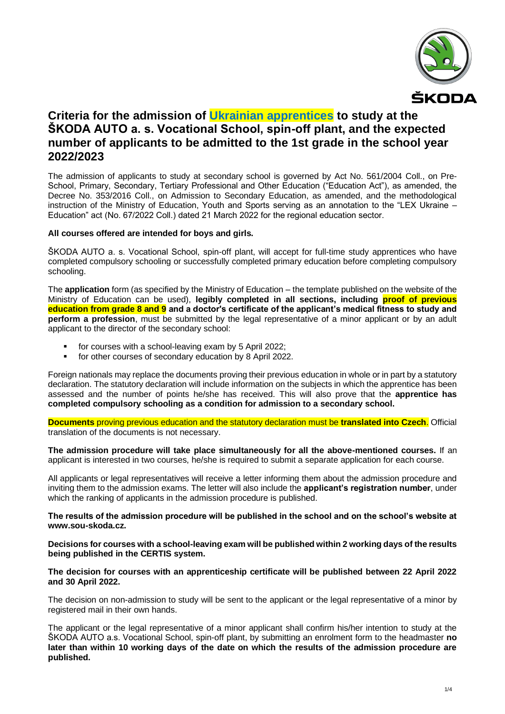

# **Criteria for the admission of Ukrainian apprentices to study at the ŠKODA AUTO a. s. Vocational School, spin-off plant, and the expected number of applicants to be admitted to the 1st grade in the school year 2022/2023**

The admission of applicants to study at secondary school is governed by Act No. 561/2004 Coll., on Pre-School, Primary, Secondary, Tertiary Professional and Other Education ("Education Act"), as amended, the Decree No. 353/2016 Coll., on Admission to Secondary Education, as amended, and the methodological instruction of the Ministry of Education, Youth and Sports serving as an annotation to the "LEX Ukraine – Education" act (No. 67/2022 Coll.) dated 21 March 2022 for the regional education sector.

#### **All courses offered are intended for boys and girls.**

ŠKODA AUTO a. s. Vocational School, spin-off plant, will accept for full-time study apprentices who have completed compulsory schooling or successfully completed primary education before completing compulsory schooling.

The **application** form (as specified by the Ministry of Education – the template published on the website of the Ministry of Education can be used), **legibly completed in all sections, including proof of previous education from grade 8 and 9 and a doctor's certificate of the applicant's medical fitness to study and perform a profession**, must be submitted by the legal representative of a minor applicant or by an adult applicant to the director of the secondary school:

- for courses with a school-leaving exam by 5 April 2022;
- for other courses of secondary education by 8 April 2022.

Foreign nationals may replace the documents proving their previous education in whole or in part by a statutory declaration. The statutory declaration will include information on the subjects in which the apprentice has been assessed and the number of points he/she has received. This will also prove that the **apprentice has completed compulsory schooling as a condition for admission to a secondary school.**

**Documents** proving previous education and the statutory declaration must be **translated into Czech**. Official translation of the documents is not necessary.

**The admission procedure will take place simultaneously for all the above-mentioned courses.** If an applicant is interested in two courses, he/she is required to submit a separate application for each course.

All applicants or legal representatives will receive a letter informing them about the admission procedure and inviting them to the admission exams. The letter will also include the **applicant's registration number**, under which the ranking of applicants in the admission procedure is published.

**The results of the admission procedure will be published in the school and on the school's website at [www.sou-skoda.cz.](http://www.sou-skoda.cz/)**

**Decisions for courses with a school-leaving exam will be published within 2 working days of the results being published in the CERTIS system.**

#### **The decision for courses with an apprenticeship certificate will be published between 22 April 2022 and 30 April 2022.**

The decision on non-admission to study will be sent to the applicant or the legal representative of a minor by registered mail in their own hands.

The applicant or the legal representative of a minor applicant shall confirm his/her intention to study at the ŠKODA AUTO a.s. Vocational School, spin-off plant, by submitting an enrolment form to the headmaster **no later than within 10 working days of the date on which the results of the admission procedure are published.**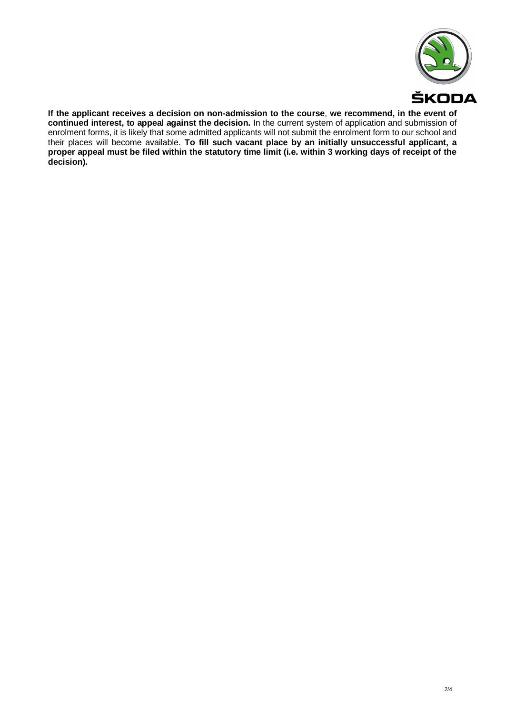

**If the applicant receives a decision on non-admission to the course**, **we recommend, in the event of continued interest, to appeal against the decision.** In the current system of application and submission of enrolment forms, it is likely that some admitted applicants will not submit the enrolment form to our school and their places will become available. **To fill such vacant place by an initially unsuccessful applicant, a proper appeal must be filed within the statutory time limit (i.e. within 3 working days of receipt of the decision).**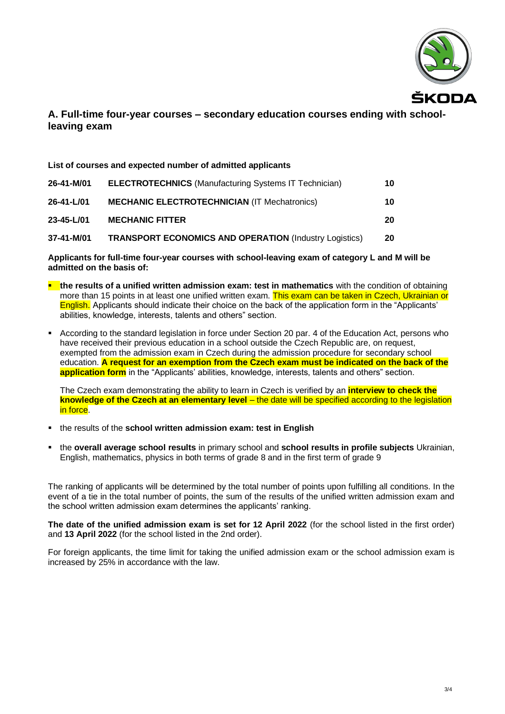

### **A. Full-time four-year courses – secondary education courses ending with schoolleaving exam**

| List of courses and expected number of admitted applicants |                                                               |    |  |
|------------------------------------------------------------|---------------------------------------------------------------|----|--|
| 26-41-M/01                                                 | <b>ELECTROTECHNICS</b> (Manufacturing Systems IT Technician)  | 10 |  |
| $26 - 41 - L/01$                                           | <b>MECHANIC ELECTROTECHNICIAN (IT Mechatronics)</b>           | 10 |  |
| $23 - 45 - L/01$                                           | <b>MECHANIC FITTER</b>                                        | 20 |  |
| 37-41-M/01                                                 | <b>TRANSPORT ECONOMICS AND OPERATION (Industry Logistics)</b> | 20 |  |

**Applicants for full-time four-year courses with school-leaving exam of category L and M will be admitted on the basis of:**

- **the results of a unified written admission exam: test in mathematics** with the condition of obtaining more than 15 points in at least one unified written exam. This exam can be taken in Czech, Ukrainian or English. Applicants should indicate their choice on the back of the application form in the "Applicants' abilities, knowledge, interests, talents and others" section.
- According to the standard legislation in force under Section 20 par. 4 of the Education Act, persons who have received their previous education in a school outside the Czech Republic are, on request, exempted from the admission exam in Czech during the admission procedure for secondary school education. **A request for an exemption from the Czech exam must be indicated on the back of the application form** in the "Applicants' abilities, knowledge, interests, talents and others" section.

The Czech exam demonstrating the ability to learn in Czech is verified by an **interview to check the knowledge of the Czech at an elementary level** – the date will be specified according to the legislation in force.

- the results of the **school written admission exam: test in English**
- the **overall average school results** in primary school and **school results in profile subjects** Ukrainian, English, mathematics, physics in both terms of grade 8 and in the first term of grade 9

The ranking of applicants will be determined by the total number of points upon fulfilling all conditions. In the event of a tie in the total number of points, the sum of the results of the unified written admission exam and the school written admission exam determines the applicants' ranking.

**The date of the unified admission exam is set for 12 April 2022** (for the school listed in the first order) and **13 April 2022** (for the school listed in the 2nd order).

For foreign applicants, the time limit for taking the unified admission exam or the school admission exam is increased by 25% in accordance with the law.